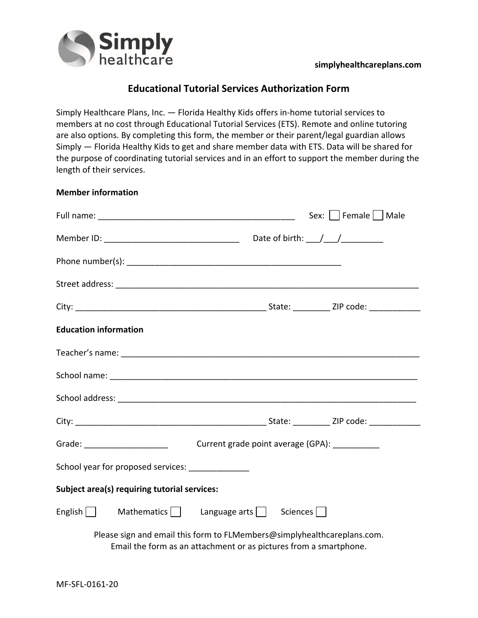

## **Educational Tutorial Services Authorization Form**

Simply Healthcare Plans, Inc. — Florida Healthy Kids offers in-home tutorial services to members at no cost through Educational Tutorial Services (ETS). Remote and online tutoring are also options. By completing this form, the member or their parent/legal guardian allows Simply — Florida Healthy Kids to get and share member data with ETS. Data will be shared for the purpose of coordinating tutorial services and in an effort to support the member during the length of their services.

| <b>Member information</b> |  |  |
|---------------------------|--|--|
|---------------------------|--|--|

|                                                                                                                        |                                               | Sex:     Female     Male |  |
|------------------------------------------------------------------------------------------------------------------------|-----------------------------------------------|--------------------------|--|
|                                                                                                                        |                                               |                          |  |
|                                                                                                                        |                                               |                          |  |
|                                                                                                                        |                                               |                          |  |
|                                                                                                                        |                                               |                          |  |
| <b>Education information</b>                                                                                           |                                               |                          |  |
|                                                                                                                        |                                               |                          |  |
|                                                                                                                        |                                               |                          |  |
|                                                                                                                        |                                               |                          |  |
|                                                                                                                        |                                               |                          |  |
| Grade: <u>Campanese and Canada and Canada and Canada and Canada and Canada and Canada and Canada and Canada and Ca</u> | Current grade point average (GPA): __________ |                          |  |
| School year for proposed services: _______________                                                                     |                                               |                          |  |
| Subject area(s) requiring tutorial services:                                                                           |                                               |                          |  |
| English $\Box$ Mathematics $\Box$ Language arts $\Box$                                                                 | Sciences                                      |                          |  |
| Please sign and email this form to FLMembers@simplyhealthcareplans.com.                                                |                                               |                          |  |

Email the form as an attachment or as pictures from a smartphone.